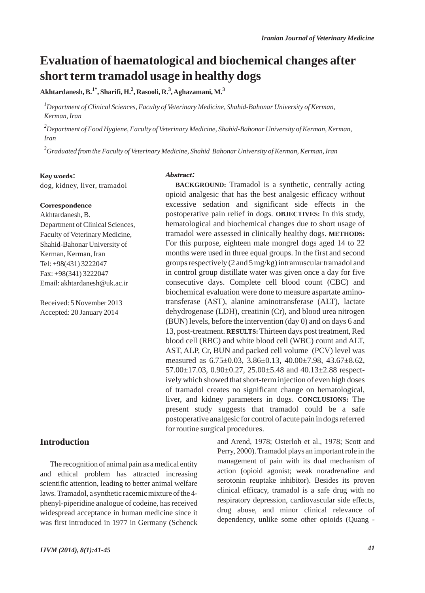## **Evaluation of haematological and biochemical changes after short term tramadol usage in healthy dogs**

**Akhtardanesh, B.1\*, Sharifi, H.2 , Rasooli, R.<sup>3</sup> , Aghazamani, M.<sup>3</sup>**

*1 Department of Clinical Sciences, Faculty of Veterinary Medicine, Shahid-Bahonar University of Kerman, Kerman, Iran*

*2 Department of Food Hygiene, Faculty of Veterinary Medicine, Shahid-Bahonar University of Kerman, Kerman, Iran*

*3 Graduated from the Faculty of Veterinary Medicine, Shahid Bahonar University of Kerman, Kerman, Iran*

#### Key words:

dog, kidney, liver, tramadol

#### Correspondence

Akhtardanesh, B. Department of Clinical Sciences, Faculty of Veterinary Medicine, Shahid-Bahonar University of Kerman, Kerman, Iran Tel: +98(431) 3222047 Fax: +98(341) 3222047 Email: akhtardanesh@uk.ac.ir

Received: 5 November 2013 Accepted: 20 January 2014

#### **Introduction**

The recognition of animal pain as a medical entity and ethical problem has attracted increasing scientific attention, leading to better animal welfare laws. Tramadol, a synthetic racemic mixture of the 4 phenyl-piperidine analogue of codeine, has received widespread acceptance in human medicine since it was first introduced in 1977 in Germany (Schenck

#### Abstract:

**BACKGROUND:** Tramadol is a synthetic, centrally acting opioid analgesic that has the best analgesic efficacy without excessive sedation and significant side effects in the postoperative pain relief in dogs. **OBJECTIVES:** In this study, hematological and biochemical changes due to short usage of tramadol were assessed in clinically healthy dogs. **METHODS:** For this purpose, eighteen male mongrel dogs aged 14 to 22 months were used in three equal groups. In the first and second groups respectively (2 and 5 mg/kg) intramuscular tramadol and in control group distillate water was given once a day for five consecutive days. Complete cell blood count (CBC) and biochemical evaluation were done to measure aspartate aminotransferase (AST), alanine aminotransferase (ALT), lactate dehydrogenase (LDH), creatinin (Cr), and blood urea nitrogen (BUN) levels, before the intervention (day 0) and on days 6 and 13, post-treatment. **RESULTS:**Thirteen days post treatment, Red blood cell (RBC) and white blood cell (WBC) count and ALT, AST, ALP, Cr, BUN and packed cell volume (PCV) level was measured as 6.75±0.03, 3.86±0.13, 40.00±7.98, 43.67±8.62,  $57.00 \pm 17.03$ ,  $0.90 \pm 0.27$ ,  $25.00 \pm 5.48$  and  $40.13 \pm 2.88$  respectively which showed that short-term injection of even high doses of tramadol creates no significant change on hematological, liver, and kidney parameters in dogs. **CONCLUSIONS:** The present study suggests that tramadol could be a safe postoperative analgesic for control of acute pain in dogs referred for routine surgical procedures.

> and Arend, 1978; Osterloh et al., 1978; Scott and Perry, 2000). Tramadol plays an important role in the management of pain with its dual mechanism of action (opioid agonist; weak noradrenaline and serotonin reuptake inhibitor). Besides its proven clinical efficacy, tramadol is a safe drug with no respiratory depression, cardiovascular side effects, drug abuse, and minor clinical relevance of dependency, unlike some other opioids (Quang -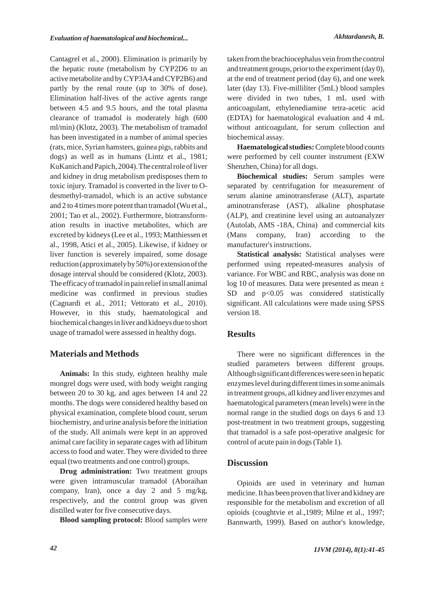Cantagrel et al., 2000). Elimination is primarily by the hepatic route (metabolism by CYP2D6 to an active metabolite and by CYP3A4 and CYP2B6) and partly by the renal route (up to 30% of dose). Elimination half-lives of the active agents range between 4.5 and 9.5 hours, and the total plasma clearance of tramadol is moderately high (600 ml/min) (Klotz, 2003). The metabolism of tramadol has been investigated in a number of animal species (rats, mice, Syrian hamsters, guinea pigs, rabbits and dogs) as well as in humans (Lintz et al., 1981; KuKanich and Papich, 2004). The central role of liver and kidney in drug metabolism predisposes them to toxic injury. Tramadol is converted in the liver to Odesmethyl-tramadol, which is an active substance and 2 to 4 times more potent than tramadol (Wu et al., 2001; Tao et al., 2002). Furthermore, biotransformation results in inactive metabolites, which are excreted by kidneys (Lee et al., 1993; Matthiessen et al., 1998, Atici et al., 2005). Likewise, if kidney or liver function is severely impaired, some dosage reduction (approximately by 50%) or extension of the dosage interval should be considered (Klotz, 2003). The efficacy of tramadol in pain relief in small animal medicine was confirmed in previous studies (Cagnardi et al., 2011; Vettorato et al., 2010). However, in this study, haematological and biochemical changes in liver and kidneys due to short usage of tramadol were assessed in healthy dogs.

#### **Materials and Methods**

**Animals:** In this study, eighteen healthy male mongrel dogs were used, with body weight ranging between 20 to 30 kg, and ages between 14 and 22 months. The dogs were considered healthy based on physical examination, complete blood count, serum biochemistry, and urine analysis before the initiation of the study. All animals were kept in an approved animal care facility in separate cages with ad libitum access to food and water. They were divided to three equal (two treatments and one control) groups.

**Drug administration:** Two treatment groups were given intramuscular tramadol (Aboraihan company, Iran), once a day 2 and 5 mg/kg, respectively, and the control group was given distilled water for five consecutive days.

**Blood sampling protocol:** Blood samples were

taken from the brachiocephalus vein from the control and treatment groups, prior to the experiment (day 0), at the end of treatment period (day 6), and one week later (day 13). Five-milliliter (5mL) blood samples were divided in two tubes, 1 mL used with anticoagulant, ethylenediamine tetra-acetic acid (EDTA) for haematological evaluation and 4 mL without anticoagulant, for serum collection and biochemical assay.

**Haematological studies:** Complete blood counts were performed by cell counter instrument (EXW Shenzhen, China) for all dogs.

**Biochemical studies:** Serum samples were separated by centrifugation for measurement of serum alanine aminotransferase (ALT), aspartate aminotransferase (AST), alkaline phosphatase (ALP), and creatinine level using an autoanalyzer (Autolab, AMS -18A, China) and commercial kits (Mans company, Iran) according to the manufacturer's instructions.

**Statistical analysis:** Statistical analyses were performed using repeated-measures analysis of variance. For WBC and RBC, analysis was done on log 10 of measures. Data were presented as mean  $\pm$  $SD$  and  $p<0.05$  was considered statistically significant. All calculations were made using SPSS version 18.

#### **Results**

There were no significant differences in the studied parameters between different groups. Although significant differences were seen in hepatic enzymes level during different times in some animals in treatment groups, all kidney and liver enzymes and haematological parameters (mean levels) were in the normal range in the studied dogs on days 6 and 13 post-treatment in two treatment groups, suggesting that tramadol is a safe post-operative analgesic for control of acute pain in dogs (Table 1).

## **Discussion**

Opioids are used in veterinary and human medicine. It has been proven that liver and kidney are responsible for the metabolism and excretion of all opioids (coughtvie et al.,1989; Milne et al., 1997; Bannwarth, 1999). Based on author's knowledge,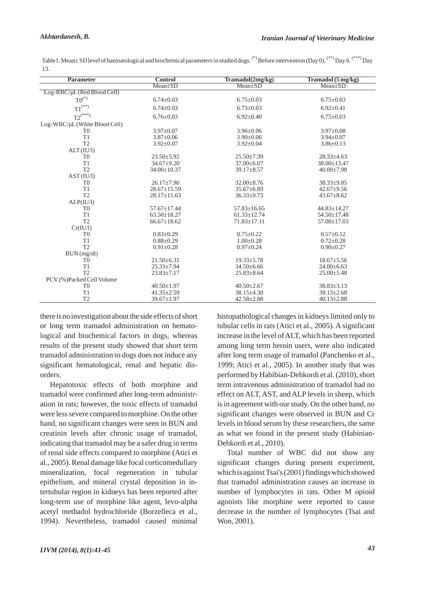| <b>Parameter</b>              | <b>Control</b>    | Tramadol(2mg/kg)  | Tramadol (5 mg/kg) |
|-------------------------------|-------------------|-------------------|--------------------|
|                               | $Mean \pm SD$     | $Mean \pm SD$     | $Mean \pm SD$      |
| Log-RBC/µL (Red Blood Cell)   |                   |                   |                    |
| $T0^{(*)}$                    | $6.74 \pm 0.03$   | $6.75 \pm 0.03$   | $6.75 \pm 0.03$    |
| ${\rm T1}^{(**)}$             | $6.74 + 0.03$     | $6.73 + 0.03$     | $6.92 \pm 0.41$    |
| $T2^{(**)}$                   | $6.76 \pm 0.03$   | $6.92 \pm 0.40$   | $6.75 \pm 0.03$    |
| Log-WBC/µL (White Blood Cell) |                   |                   |                    |
| T <sub>0</sub>                | $3.97 \pm 0.07$   | $3.96 \pm 0.06$   | $3.97 \pm 0.08$    |
| T1                            | $3.87 \pm 0.06$   | $3.90 \pm 0.06$   | $3.94 \pm 0.07$    |
| T <sub>2</sub>                | $3.92 \pm 0.07$   | $3.92 \pm 0.04$   | $3.86 \pm 0.13$    |
| ALT (IU/l)                    |                   |                   |                    |
| T <sub>0</sub>                | $23.50 \pm 5.92$  | $25.50 \pm 7.39$  | $28.33 \pm 4.63$   |
| T1                            | $34.67 + 9.20$    | $37.00 \pm 6.07$  | $38.00 \pm 13.47$  |
| T <sub>2</sub>                | $34.00 \pm 10.37$ | $39.17 \pm 8.57$  | $40.00 \pm 7.98$   |
| AST (IU/l)                    |                   |                   |                    |
| T <sub>0</sub>                | $26.17 \pm 7.90$  | $32.00 \pm 8.76$  | $38.33 \pm 9.85$   |
| T1                            | $28.67 \pm 15.59$ | $35.67 \pm 6.89$  | $42.67 \pm 9.56$   |
| T2                            | $28.17 \pm 15.63$ | $36.33 \pm 9.73$  | $43.67 \pm 8.62$   |
| ALP(IU/l)                     |                   |                   |                    |
| T <sub>0</sub>                | $57.67 \pm 17.44$ | $57.83 \pm 16.65$ | 44.83±14.27        |
| T1                            | $63.50 \pm 18.27$ | $61.33 \pm 12.74$ | $54.50 \pm 17.48$  |
| T <sub>2</sub>                | $66.67 \pm 18.62$ | $71.83 \pm 17.11$ | $57.00 \pm 17.03$  |
| Cr(IU/l)                      |                   |                   |                    |
| T <sub>0</sub>                | $0.83 \pm 0.29$   | $0.75 \pm 0.22$   | $0.57 \pm 0.12$    |
| T1                            | $0.88 \pm 0.29$   | $1.00 \pm 0.28$   | $0.72 \pm 0.28$    |
| T <sub>2</sub>                | $0.91 \pm 0.28$   | $0.97 \pm 0.24$   | $0.90 \pm 0.27$    |
| BUN (mg/dl)                   |                   |                   |                    |
| T <sub>0</sub>                | $21.50 \pm 6.31$  | $19.33 \pm 5.78$  | $18.67 \pm 5.56$   |
| T1                            | $25.33 \pm 7.94$  | $34.50 \pm 6.66$  | $24.00 \pm 6.63$   |
| T2                            | $23.83 \pm 7.17$  | $25.83 \pm 8.64$  | $25.00 \pm 5.48$   |
| PCV (%)Packed Cell Volume     |                   |                   |                    |
| T <sub>0</sub>                | $40.50 \pm 1.97$  | $40.50 \pm 2.67$  | $38.83 \pm 3.13$   |
| T1                            | $41.35 \pm 2.59$  | $38.15 \pm 4.30$  | $39.13 \pm 2.68$   |
| T <sub>2</sub>                | $39.67 \pm 1.97$  | $42.58 \pm 2.88$  | $40.13 \pm 2.88$   |

Table 1. Mean± SD level of haematological and biochemical parameters in studied dogs. (\*) Before intervention (Day 0). (\*\*\*)Day 6. (\*\*\*)Day 13.

there is no investigation about the side effects of short or long term tramadol administration on hematological and biochemical factors in dogs, whereas results of the present study showed that short term tramadol administration to dogs does not induce any significant hematological, renal and hepatic disorders.

Hepatotoxic effects of both morphine and tramadol were confirmed after long-term administration in rats; however, the toxic effects of tramadol were less severe compared to morphine. On the other hand, no significant changes were seen in BUN and creatinin levels after chronic usage of tramadol, indicating that tramadol may be a safer drug in terms of renal side effects compared to morphine (Atici et al., 2005). Renal damage like focal corticomedullary mineralization, focal regeneration in tubular epithelium, and mineral crystal deposition in intertubular region in kidneys has been reported after long-term use of morphine like agent, levo-alpha acetyl methadol hydrochloride (Borzelleca et al., 1994). Nevertheless, tramadol caused minimal histopathological changes in kidneys limited only to tubular cells in rats (Atici et al., 2005). A significant increase in the level of ALT, which has been reported among long term heroin users, were also indicated after long term usage of tramadol (Panchenko et al., 1999; Atici et al., 2005). In another study that was performed by Habibian-Dehkordi et al. (2010), short term intravenous administration of tramadol had no effect on ALT, AST, and ALP levels in sheep, which is in agreement with our study. On the other hand, no significant changes were observed in BUN and Cr levels in blood serum by these researchers, the same as what we found in the present study (Habinian-Dehkordi et al., 2010).

Total number of WBC did not show any significant changes during present experiment, which is against Tsai's (2001) findings which showed that tramadol administration causes an increase in number of lymphocytes in rats. Other M opioid agonists like morphine were reported to cause decrease in the number of lymphocytes (Tsai and Won, 2001).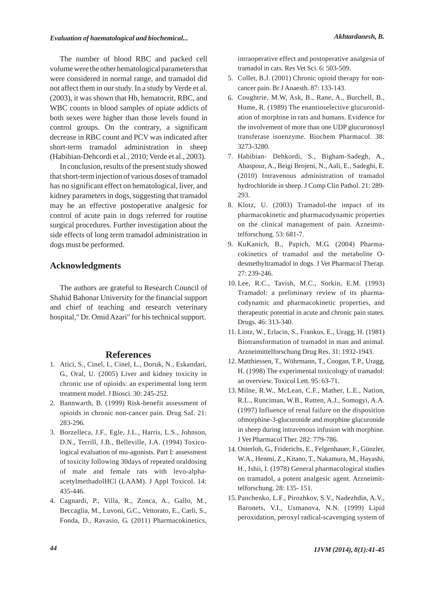The number of blood RBC and packed cell volume were the other hematological parameters that were considered in normal range, and tramadol did not affect them in our study. In a study by Verde et al. (2003), it was shown that Hb, hematocrit, RBC, and WBC counts in blood samples of opiate addicts of both sexes were higher than those levels found in control groups. On the contrary, a significant decrease in RBC count and PCV was indicated after short-term tramadol administration in sheep (Habibian-Dehcordi et al., 2010; Verde et al., 2003).

In conclusion, results of the present study showed that short-term injection of various doses of tramadol has no significant effect on hematological, liver, and kidney parameters in dogs, suggesting that tramadol may be an effective postoperative analgesic for control of acute pain in dogs referred for routine surgical procedures. Further investigation about the side effects of long term tramadol administration in dogs must be performed.

## **Acknowledgments**

The authors are grateful to Research Council of Shahid Bahonar University for the financial support and chief of teaching and research veterinary hospital," Dr. Omid Azari" for his technical support.

#### **References**

- Atici, S., Cinel, I., Cinel, L., Doruk, N., Eskandari, 1. G., Oral, U. (2005) Liver and kidney toxicity in chronic use of opioids: an experimental long term treatment model. J Biosci. 30: 245-252.
- 2. Bannwarth, B. (1999) Risk-benefit assessment of opioids in chronic non-cancer pain. Drug Saf. 21: 283-296.
- Borzelleca, J.F., Egle, J.L., Harris, L.S., Johnson, 3. D.N., Terrill, J.B., Belleville, J.A. (1994) Toxicological evaluation of mu-agonists. Part I: assessment of toxicity following 30days of repeated oraldosing of male and female rats with levo-alphaacetylmethadolHCl (LAAM). J Appl Toxicol. 14: 435-446.
- Cagnardi, P., Villa, R., Zonca, A., Gallo, M., 4. Beccaglia, M., Luvoni, G.C., Vettorato, E., Carli, S., Fonda, D., Ravasio, G. (2011) Pharmacokinetics,

intraoperative effect and postoperative analgesia of tramadol in cats. Res Vet Sci. 6: 503-509.

- 5. Collet, B.J. (2001) Chronic opioid therapy for noncancer pain. Br J Anaesth. 87: 133-143.
- 6. Coughtrie, M.W, Ask, B., Rane, A., Burchell, B., Hume, R. (1989) The enantioselective glucuronidation of morphine in rats and humans. Evidence for the involvement of more than one UDP glucuronosyl transferase isoenzyme. Biochem Pharmacol. 38: 3273-3280.
- 7. Habibian- Dehkordi, S., Bigham-Sadegh, A., Abaspour, A., Beigi Brojeni, N., Aali, E., Sadeghi, E. (2010) Intravenous administration of tramadol hydrochloride in sheep. J Comp Clin Pathol. 21: 289- 293.
- Klotz, U. (2003) Tramadol-the impact of its 8. pharmacokinetic and pharmacodynamic properties on the clinical management of pain. Azneimittelforschung. 53: 681-7.
- KuKanich, B., Papich, M.G. (2004) Pharma-9. cokinetics of tramadol and the metabolite Odesmethyltramadol in dogs. J Vet Pharmacol Therap. 27: 239-246.
- 10. Lee, R.C., Tavish, M.C., Sorkin, E.M. (1993) Tramadol: a preliminary review of its pharmacodynamic and pharmacokinetic properties, and therapeutic potential in acute and chronic pain states. Drugs. 46: 313-340.
- Lintz, W., Erlacin, S., Frankus, E., Uragg, H. (1981) 11. Biotransformation of tramadol in man and animal. Arzneimittelforschung Drug Res. 31: 1932-1943.
- 12. Matthiessen, T., Wöhrmann, T., Coogan, T.P., Uragg, H. (1998) The experimental toxicology of tramadol: an overview. Toxicol Lett. 95: 63-71.
- 13. Milne, R.W., McLean, C.F., Mather, L.E., Nation, R.L., Runciman, W.B., Rutten, A.J., Somogyi, A.A. (1997) Influence of renal failure on the disposition ofmorphine-3-glucuronide and morphine glucuronide in sheep during intravenous infusion with morphine. J Vet Pharmacol Ther. 282: 779-786.
- 14. Osterloh, G., Friderichs, E., Felgenhauer, F., Günzler, W.A., Henmi, Z., Kitano, T., Nakamura, M., Hayashi, H., Ishii, I. (1978) General pharmacological studies on tramadol, a potent analgesic agent. Arzneimittelforschung. 28: 135- 151.
- 15. Panchenko, L.F., Pirozhkov, S.V., Nadezhdin, A.V., Baronets, V.I., Usmanova, N.N. (1999) Lipid peroxidation, peroxyl radical-scavenging system of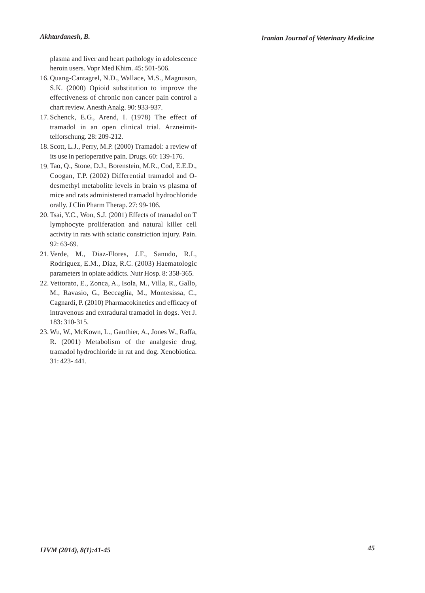plasma and liver and heart pathology in adolescence heroin users. Vopr Med Khim. 45: 501-506.

- 16. Quang-Cantagrel, N.D., Wallace, M.S., Magnuson, S.K. (2000) Opioid substitution to improve the effectiveness of chronic non cancer pain control a chart review. Anesth Analg. 90: 933-937.
- 17. Schenck, E.G., Arend, I. (1978) The effect of tramadol in an open clinical trial. Arzneimittelforschung. 28: 209-212.
- 18. Scott, L.J., Perry, M.P. (2000) Tramadol: a review of its use in perioperative pain. Drugs. 60: 139-176.
- 19. Tao, Q., Stone, D.J., Borenstein, M.R., Cod, E.E.D., Coogan, T.P. (2002) Differential tramadol and Odesmethyl metabolite levels in brain vs plasma of mice and rats administered tramadol hydrochloride orally. J Clin Pharm Therap. 27: 99-106.
- Tsai, Y.C., Won, S.J. (2001) Effects of tramadol on T 20. lymphocyte proliferation and natural killer cell activity in rats with sciatic constriction injury. Pain. 92: 63-69.
- 21. Verde, M., Diaz-Flores, J.F., Sanudo, R.I., Rodriguez, E.M., Diaz, R.C. (2003) Haematologic parameters in opiate addicts. Nutr Hosp. 8: 358-365.
- 22. Vettorato, E., Zonca, A., Isola, M., Villa, R., Gallo, M., Ravasio, G., Beccaglia, M., Montesissa, C., Cagnardi, P. (2010) Pharmacokinetics and efficacy of intravenous and extradural tramadol in dogs. Vet J. 183: 310-315.
- 23. Wu, W., McKown, L., Gauthier, A., Jones W., Raffa, R. (2001) Metabolism of the analgesic drug, tramadol hydrochloride in rat and dog. Xenobiotica. 31: 423- 441.